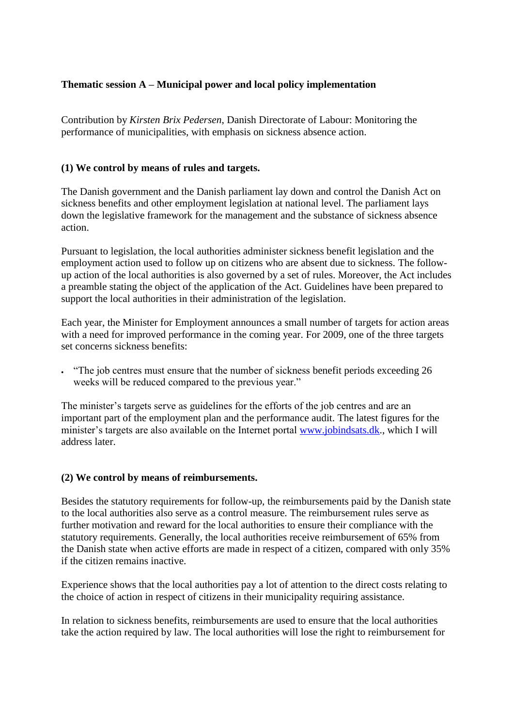# **Thematic session A – Municipal power and local policy implementation**

Contribution by *Kirsten Brix Pedersen*, Danish Directorate of Labour: Monitoring the performance of municipalities, with emphasis on sickness absence action.

# **(1) We control by means of rules and targets.**

The Danish government and the Danish parliament lay down and control the Danish Act on sickness benefits and other employment legislation at national level. The parliament lays down the legislative framework for the management and the substance of sickness absence action.

Pursuant to legislation, the local authorities administer sickness benefit legislation and the employment action used to follow up on citizens who are absent due to sickness. The followup action of the local authorities is also governed by a set of rules. Moreover, the Act includes a preamble stating the object of the application of the Act. Guidelines have been prepared to support the local authorities in their administration of the legislation.

Each year, the Minister for Employment announces a small number of targets for action areas with a need for improved performance in the coming year. For 2009, one of the three targets set concerns sickness benefits:

 "The job centres must ensure that the number of sickness benefit periods exceeding 26 weeks will be reduced compared to the previous year."

The minister's targets serve as guidelines for the efforts of the job centres and are an important part of the employment plan and the performance audit. The latest figures for the minister's targets are also available on the Internet portal [www.jobindsats.dk.](http://www.jobindsats.dk/), which I will address later.

## **(2) We control by means of reimbursements.**

Besides the statutory requirements for follow-up, the reimbursements paid by the Danish state to the local authorities also serve as a control measure. The reimbursement rules serve as further motivation and reward for the local authorities to ensure their compliance with the statutory requirements. Generally, the local authorities receive reimbursement of 65% from the Danish state when active efforts are made in respect of a citizen, compared with only 35% if the citizen remains inactive.

Experience shows that the local authorities pay a lot of attention to the direct costs relating to the choice of action in respect of citizens in their municipality requiring assistance.

In relation to sickness benefits, reimbursements are used to ensure that the local authorities take the action required by law. The local authorities will lose the right to reimbursement for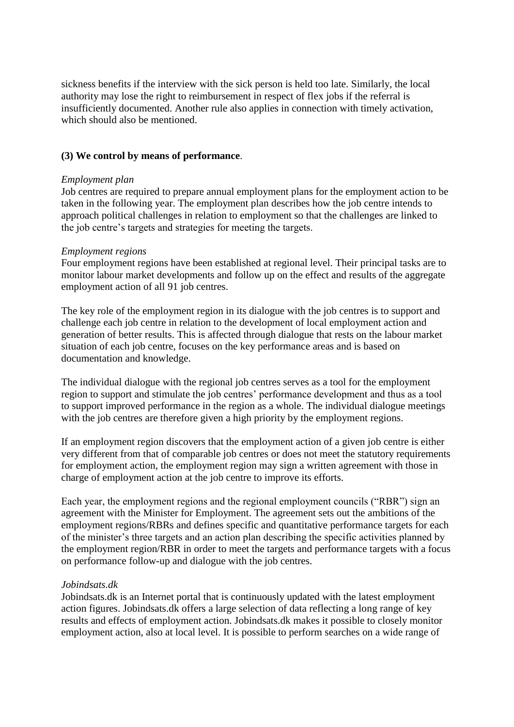sickness benefits if the interview with the sick person is held too late. Similarly, the local authority may lose the right to reimbursement in respect of flex jobs if the referral is insufficiently documented. Another rule also applies in connection with timely activation, which should also be mentioned.

## **(3) We control by means of performance**.

## *Employment plan*

Job centres are required to prepare annual employment plans for the employment action to be taken in the following year. The employment plan describes how the job centre intends to approach political challenges in relation to employment so that the challenges are linked to the job centre's targets and strategies for meeting the targets.

## *Employment regions*

Four employment regions have been established at regional level. Their principal tasks are to monitor labour market developments and follow up on the effect and results of the aggregate employment action of all 91 job centres.

The key role of the employment region in its dialogue with the job centres is to support and challenge each job centre in relation to the development of local employment action and generation of better results. This is affected through dialogue that rests on the labour market situation of each job centre, focuses on the key performance areas and is based on documentation and knowledge.

The individual dialogue with the regional job centres serves as a tool for the employment region to support and stimulate the job centres' performance development and thus as a tool to support improved performance in the region as a whole. The individual dialogue meetings with the job centres are therefore given a high priority by the employment regions.

If an employment region discovers that the employment action of a given job centre is either very different from that of comparable job centres or does not meet the statutory requirements for employment action, the employment region may sign a written agreement with those in charge of employment action at the job centre to improve its efforts.

Each year, the employment regions and the regional employment councils ("RBR") sign an agreement with the Minister for Employment. The agreement sets out the ambitions of the employment regions/RBRs and defines specific and quantitative performance targets for each of the minister's three targets and an action plan describing the specific activities planned by the employment region/RBR in order to meet the targets and performance targets with a focus on performance follow-up and dialogue with the job centres.

## *Jobindsats.dk*

Jobindsats.dk is an Internet portal that is continuously updated with the latest employment action figures. Jobindsats.dk offers a large selection of data reflecting a long range of key results and effects of employment action. Jobindsats.dk makes it possible to closely monitor employment action, also at local level. It is possible to perform searches on a wide range of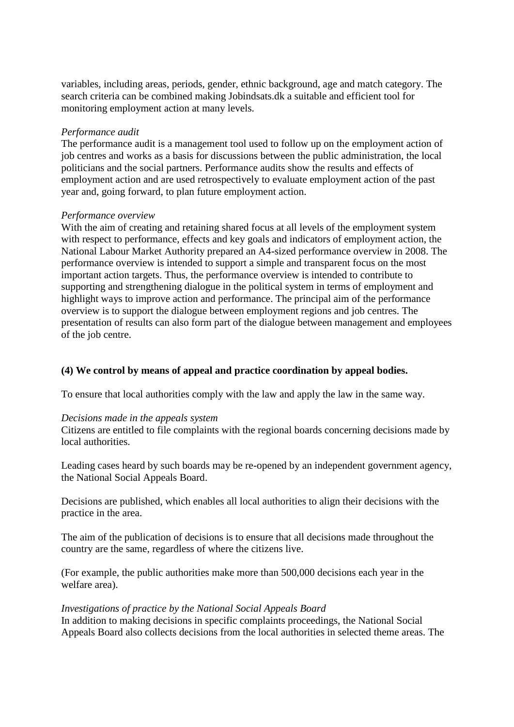variables, including areas, periods, gender, ethnic background, age and match category. The search criteria can be combined making Jobindsats.dk a suitable and efficient tool for monitoring employment action at many levels.

### *Performance audit*

The performance audit is a management tool used to follow up on the employment action of job centres and works as a basis for discussions between the public administration, the local politicians and the social partners. Performance audits show the results and effects of employment action and are used retrospectively to evaluate employment action of the past year and, going forward, to plan future employment action.

### *Performance overview*

With the aim of creating and retaining shared focus at all levels of the employment system with respect to performance, effects and key goals and indicators of employment action, the National Labour Market Authority prepared an A4-sized performance overview in 2008. The performance overview is intended to support a simple and transparent focus on the most important action targets. Thus, the performance overview is intended to contribute to supporting and strengthening dialogue in the political system in terms of employment and highlight ways to improve action and performance. The principal aim of the performance overview is to support the dialogue between employment regions and job centres. The presentation of results can also form part of the dialogue between management and employees of the job centre.

## **(4) We control by means of appeal and practice coordination by appeal bodies.**

To ensure that local authorities comply with the law and apply the law in the same way.

#### *Decisions made in the appeals system*

Citizens are entitled to file complaints with the regional boards concerning decisions made by local authorities.

Leading cases heard by such boards may be re-opened by an independent government agency, the National Social Appeals Board.

Decisions are published, which enables all local authorities to align their decisions with the practice in the area.

The aim of the publication of decisions is to ensure that all decisions made throughout the country are the same, regardless of where the citizens live.

(For example, the public authorities make more than 500,000 decisions each year in the welfare area).

#### *Investigations of practice by the National Social Appeals Board*

In addition to making decisions in specific complaints proceedings, the National Social Appeals Board also collects decisions from the local authorities in selected theme areas. The